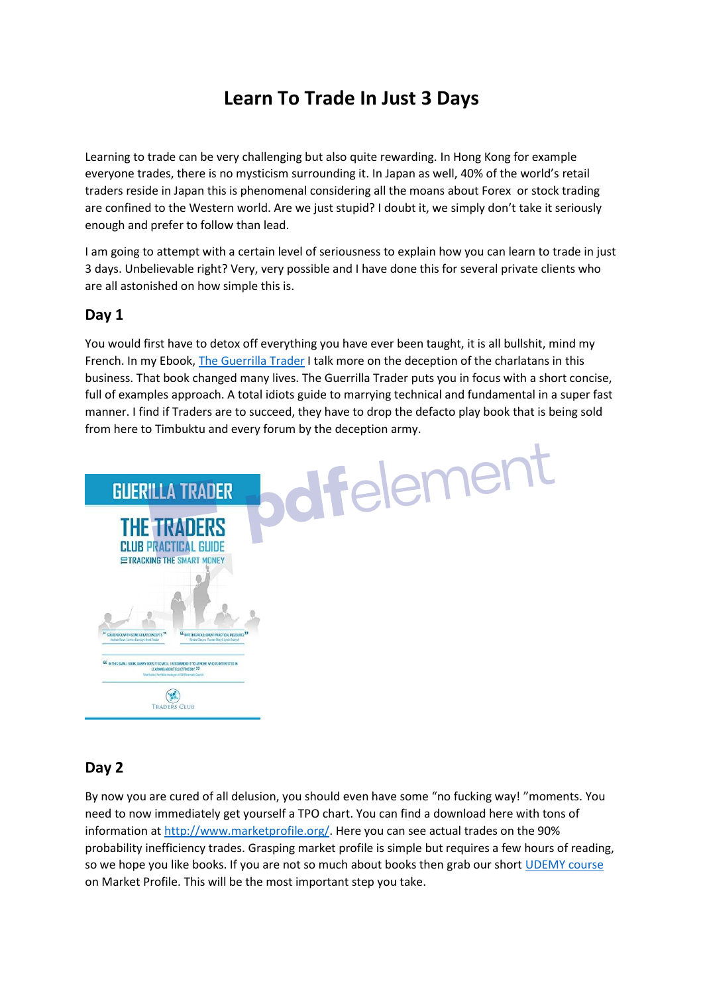# **Learn To Trade In Just 3 Days**

Learning to trade can be very challenging but also quite rewarding. In Hong Kong for example everyone trades, there is no mysticism surrounding it. In Japan as well, 40% of the world's retail traders reside in Japan this is phenomenal considering all the moans about Forex or stock trading are confined to the Western world. Are we just stupid? I doubt it, we simply don't take it seriously enough and prefer to follow than lead.

I am going to attempt with a certain level of seriousness to explain how you can learn to trade in just 3 days. Unbelievable right? Very, very possible and I have done this for several private clients who are all astonished on how simple this is.

### **Day 1**

You would first have to detox off everything you have ever been taught, it is all bullshit, mind my French. In my Ebook, [The Guerrilla](https://www.amazon.co.uk/Guerrilla-Trader-Traders-Practical-Tracking-ebook/dp/B01C7B1TPE/ref=sr_1_1?ie=UTF8&qid=1515855676&sr=8-1&keywords=Guerrilla+trader) Trader I talk more on the deception of the charlatans in this business. That book changed many lives. The Guerrilla Trader puts you in focus with a short concise, full of examples approach. A total idiots guide to marrying technical and fundamental in a super fast manner. I find if Traders are to succeed, they have to drop the defacto play book that is being sold



#### **Day 2**

By now you are cured of all delusion, you should even have some "no fucking way! "moments. You need to now immediately get yourself a TPO chart. You can find a download here with tons of information at [http://www.marketprofile.org/.](http://www.marketprofile.org/?source=art) Here you can see actual trades on the 90% probability inefficiency trades. Grasping market profile is simple but requires a few hours of reading, so we hope you like books. If you are not so much about books then grab our short [UDEMY course](https://www.udemy.com/time-price-and-opportunity-learn-to-trade-market-profile/?couponCode=MARKETSIP) on Market Profile. This will be the most important step you take.